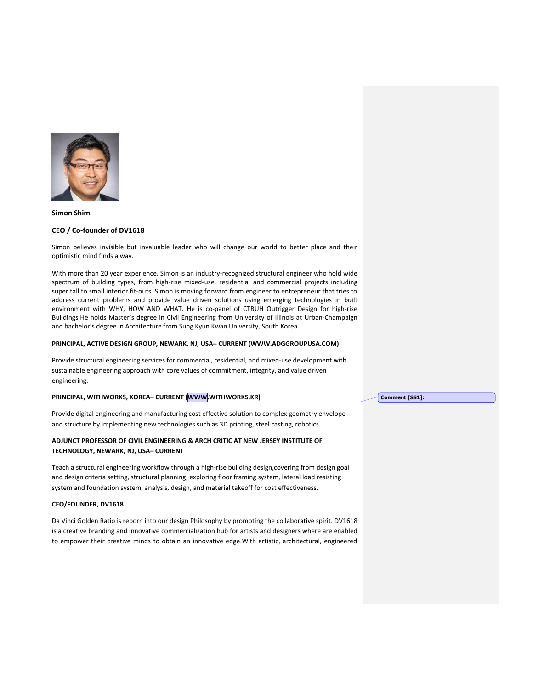

#### **Simon Shim**

#### **CEO / Co-founder of DV1618**

Simon believes invisible but invaluable leader who will change our world to better place and their optimistic mind finds a way.

With more than 20 year experience, Simon is an industry-recognized structural engineer who hold wide spectrum of building types, from high-rise mixed-use, residential and commercial projects including super tall to small interior fit-outs. Simon is moving forward from engineer to entrepreneur that tries to address current problems and provide value driven solutions using emerging technologies in built environment with WHY, HOW AND WHAT. He is co-panel of CTBUH Outrigger Design for high-rise Buildings.He holds Master's degree in Civil Engineering from University of Illinois at Urban-Champaign and bachelor's degree in Architecture from Sung Kyun Kwan University, South Korea.

#### **PRINCIPAL, ACTIVE DESIGN GROUP, NEWARK, NJ, USA– CURRENT (WWW.ADGGROUPUSA.COM)**

Provide structural engineering services for commercial, residential, and mixed-use development with sustainable engineering approach with core values of commitment, integrity, and value driven engineering.

## **PRINCIPAL, WITHWORKS, KOREA– CURRENT (WWW.WITHWORKS.KR)**

Provide digital engineering and manufacturing cost effective solution to complex geometry envelope and structure by implementing new technologies such as 3D printing, steel casting, robotics.

## **ADJUNCT PROFESSOR OF CIVIL ENGINEERING & ARCH CRITIC AT NEW JERSEY INSTITUTE OF TECHNOLOGY, NEWARK, NJ, USA– CURRENT**

Teach a structural engineering workflow through a high-rise building design,covering from design goal and design criteria setting, structural planning, exploring floor framing system, lateral load resisting system and foundation system, analysis, design, and material takeoff for cost effectiveness.

## **CEO/FOUNDER, DV1618**

Da Vinci Golden Ratio is reborn into our design Philosophy by promoting the collaborative spirit. DV1618 is a creative branding and innovative commercialization hub for artists and designers where are enabled to empower their creative minds to obtain an innovative edge.With artistic, architectural, engineered **Comment [SS1]:**